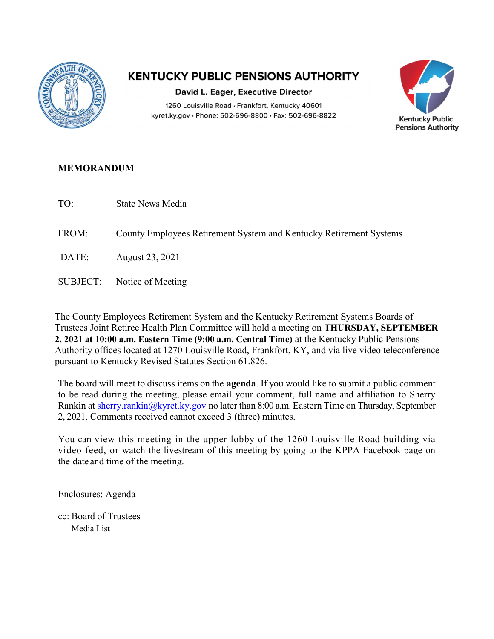

## **KENTUCKY PUBLIC PENSIONS AUTHORITY**

David L. Eager, Executive Director 1260 Louisville Road · Frankfort, Kentucky 40601 kyret.ky.gov · Phone: 502-696-8800 · Fax: 502-696-8822



## MEMORANDUM

TO: State News Media

FROM: County Employees Retirement System and Kentucky Retirement Systems

- DATE: August 23, 2021
- SUBJECT: Notice of Meeting

The County Employees Retirement System and the Kentucky Retirement Systems Boards of Trustees Joint Retiree Health Plan Committee will hold a meeting on THURSDAY, SEPTEMBER 2, 2021 at 10:00 a.m. Eastern Time (9:00 a.m. Central Time) at the Kentucky Public Pensions Authority offices located at 1270 Louisville Road, Frankfort, KY, and via live video teleconference pursuant to Kentucky Revised Statutes Section 61.826.

The board will meet to discuss items on the **agenda**. If you would like to submit a public comment to be read during the meeting, please email your comment, full name and affiliation to Sherry Rankin at sherry.rankin@kyret.ky.gov no later than 8:00 a.m. Eastern Time on Thursday, September 2, 2021. Comments received cannot exceed 3 (three) minutes.

You can view this meeting in the upper lobby of the 1260 Louisville Road building via video feed, or watch the livestream of this meeting by going to the KPPA Facebook page on the date and time of the meeting.

Enclosures: Agenda

cc: Board of Trustees Media List